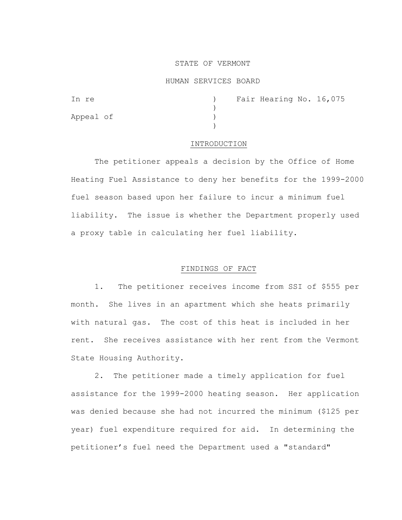## STATE OF VERMONT

### HUMAN SERVICES BOARD

| In re     |  | Fair Hearing No. 16,075 |  |
|-----------|--|-------------------------|--|
|           |  |                         |  |
| Appeal of |  |                         |  |
|           |  |                         |  |

## INTRODUCTION

The petitioner appeals a decision by the Office of Home Heating Fuel Assistance to deny her benefits for the 1999-2000 fuel season based upon her failure to incur a minimum fuel liability. The issue is whether the Department properly used a proxy table in calculating her fuel liability.

## FINDINGS OF FACT

 1. The petitioner receives income from SSI of \$555 per month. She lives in an apartment which she heats primarily with natural gas. The cost of this heat is included in her rent. She receives assistance with her rent from the Vermont State Housing Authority.

 2. The petitioner made a timely application for fuel assistance for the 1999-2000 heating season. Her application was denied because she had not incurred the minimum (\$125 per year) fuel expenditure required for aid. In determining the petitioner's fuel need the Department used a "standard"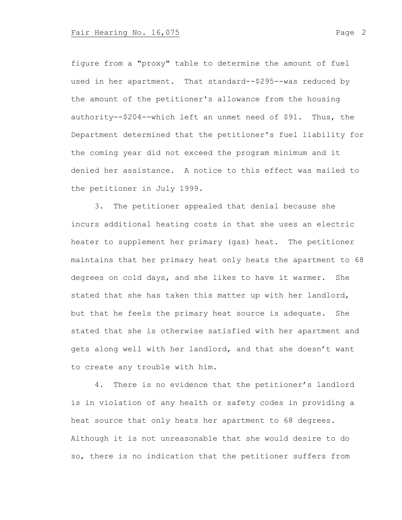figure from a "proxy" table to determine the amount of fuel used in her apartment. That standard--\$295--was reduced by the amount of the petitioner's allowance from the housing authority--\$204--which left an unmet need of \$91. Thus, the Department determined that the petitioner's fuel liability for the coming year did not exceed the program minimum and it denied her assistance. A notice to this effect was mailed to the petitioner in July 1999.

 3. The petitioner appealed that denial because she incurs additional heating costs in that she uses an electric heater to supplement her primary (gas) heat. The petitioner maintains that her primary heat only heats the apartment to 68 degrees on cold days, and she likes to have it warmer. She stated that she has taken this matter up with her landlord, but that he feels the primary heat source is adequate. She stated that she is otherwise satisfied with her apartment and gets along well with her landlord, and that she doesn't want to create any trouble with him.

4. There is no evidence that the petitioner's landlord is in violation of any health or safety codes in providing a heat source that only heats her apartment to 68 degrees. Although it is not unreasonable that she would desire to do so, there is no indication that the petitioner suffers from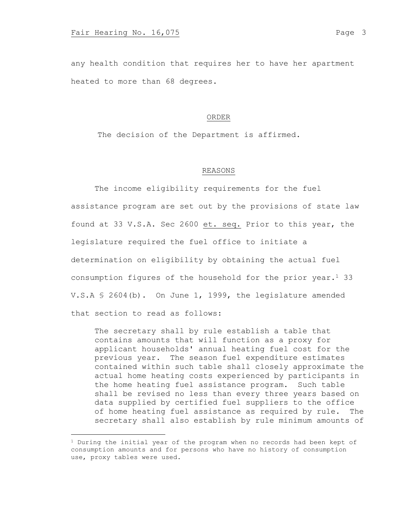any health condition that requires her to have her apartment heated to more than 68 degrees.

#### ORDER

The decision of the Department is affirmed.

# REASONS

The income eligibility requirements for the fuel assistance program are set out by the provisions of state law found at 33 V.S.A. Sec 2600 et. seq. Prior to this year, the legislature required the fuel office to initiate a determination on eligibility by obtaining the actual fuel consumption figures of the household for the prior year.<sup>1</sup> 33 V.S.A § 2604(b). On June 1, 1999, the legislature amended that section to read as follows:

The secretary shall by rule establish a table that contains amounts that will function as a proxy for applicant households' annual heating fuel cost for the previous year. The season fuel expenditure estimates contained within such table shall closely approximate the actual home heating costs experienced by participants in the home heating fuel assistance program. Such table shall be revised no less than every three years based on data supplied by certified fuel suppliers to the office of home heating fuel assistance as required by rule. The secretary shall also establish by rule minimum amounts of

 $1$  During the initial year of the program when no records had been kept of consumption amounts and for persons who have no history of consumption use, proxy tables were used.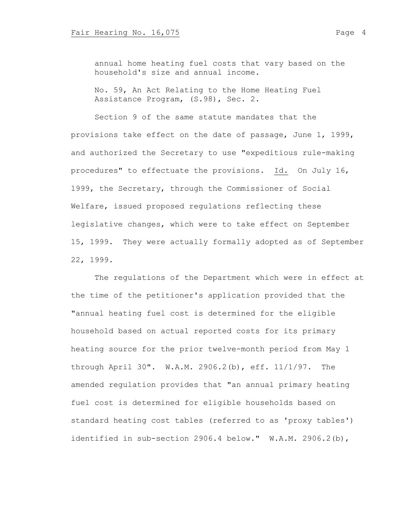annual home heating fuel costs that vary based on the household's size and annual income.

No. 59, An Act Relating to the Home Heating Fuel Assistance Program, (S.98), Sec. 2.

Section 9 of the same statute mandates that the provisions take effect on the date of passage, June 1, 1999, and authorized the Secretary to use "expeditious rule-making procedures" to effectuate the provisions. Id. On July 16, 1999, the Secretary, through the Commissioner of Social Welfare, issued proposed regulations reflecting these legislative changes, which were to take effect on September 15, 1999. They were actually formally adopted as of September 22, 1999.

The regulations of the Department which were in effect at the time of the petitioner's application provided that the "annual heating fuel cost is determined for the eligible household based on actual reported costs for its primary heating source for the prior twelve-month period from May 1 through April 30". W.A.M. 2906.2(b), eff. 11/1/97. The amended regulation provides that "an annual primary heating fuel cost is determined for eligible households based on standard heating cost tables (referred to as 'proxy tables') identified in sub-section 2906.4 below." W.A.M. 2906.2(b),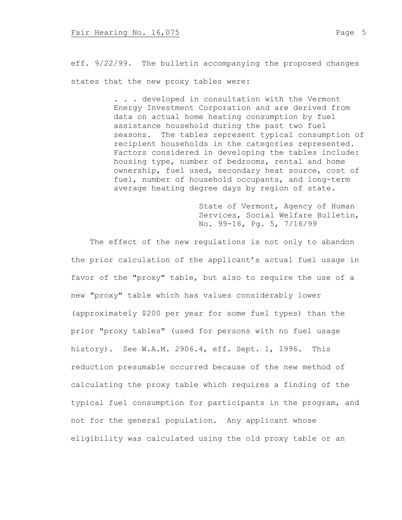eff. 9/22/99. The bulletin accompanying the proposed changes states that the new proxy tables were:

> . . . developed in consultation with the Vermont Energy Investment Corporation and are derived from data on actual home heating consumption by fuel assistance household during the past two fuel seasons. The tables represent typical consumption of recipient households in the categories represented. Factors considered in developing the tables include: housing type, number of bedrooms, rental and home ownership, fuel used, secondary heat source, cost of fuel, number of household occupants, and long-term average heating degree days by region of state.

> > State of Vermont, Agency of Human Services, Social Welfare Bulletin, No. 99-16, Pg. 5, 7/16/99

 The effect of the new regulations is not only to abandon the prior calculation of the applicant's actual fuel usage in favor of the "proxy" table, but also to require the use of a new "proxy" table which has values considerably lower (approximately \$200 per year for some fuel types) than the prior "proxy tables" (used for persons with no fuel usage history). See W.A.M. 2906.4, eff. Sept. 1, 1996. This reduction presumable occurred because of the new method of calculating the proxy table which requires a finding of the typical fuel consumption for participants in the program, and not for the general population. Any applicant whose eligibility was calculated using the old proxy table or an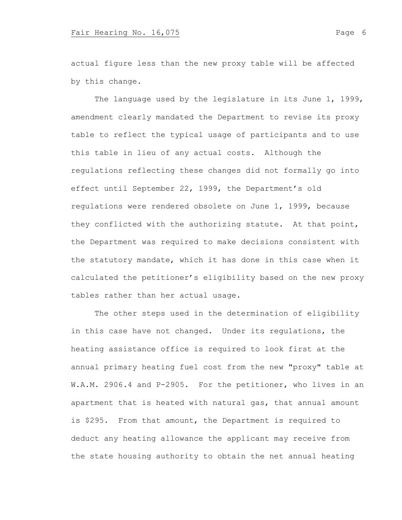actual figure less than the new proxy table will be affected by this change.

The language used by the legislature in its June 1, 1999, amendment clearly mandated the Department to revise its proxy table to reflect the typical usage of participants and to use this table in lieu of any actual costs. Although the regulations reflecting these changes did not formally go into effect until September 22, 1999, the Department's old regulations were rendered obsolete on June 1, 1999, because they conflicted with the authorizing statute. At that point, the Department was required to make decisions consistent with the statutory mandate, which it has done in this case when it calculated the petitioner's eligibility based on the new proxy tables rather than her actual usage.

The other steps used in the determination of eligibility in this case have not changed. Under its regulations, the heating assistance office is required to look first at the annual primary heating fuel cost from the new "proxy" table at W.A.M. 2906.4 and P-2905. For the petitioner, who lives in an apartment that is heated with natural gas, that annual amount is \$295. From that amount, the Department is required to deduct any heating allowance the applicant may receive from the state housing authority to obtain the net annual heating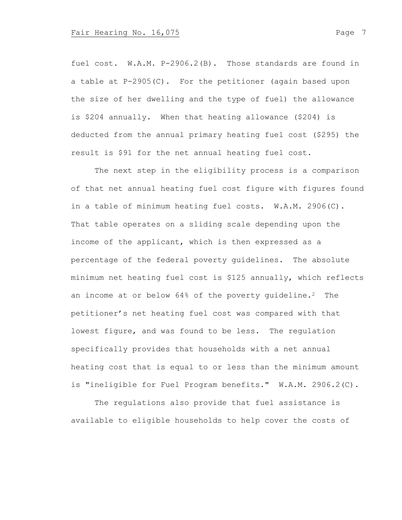fuel cost. W.A.M. P-2906.2(B). Those standards are found in a table at P-2905(C). For the petitioner (again based upon the size of her dwelling and the type of fuel) the allowance is \$204 annually. When that heating allowance (\$204) is deducted from the annual primary heating fuel cost (\$295) the result is \$91 for the net annual heating fuel cost.

The next step in the eligibility process is a comparison of that net annual heating fuel cost figure with figures found in a table of minimum heating fuel costs. W.A.M. 2906(C). That table operates on a sliding scale depending upon the income of the applicant, which is then expressed as a percentage of the federal poverty guidelines. The absolute minimum net heating fuel cost is \$125 annually, which reflects an income at or below 64% of the poverty guideline.<sup>2</sup> The petitioner's net heating fuel cost was compared with that lowest figure, and was found to be less. The regulation specifically provides that households with a net annual heating cost that is equal to or less than the minimum amount is "ineligible for Fuel Program benefits." W.A.M. 2906.2(C).

The regulations also provide that fuel assistance is available to eligible households to help cover the costs of